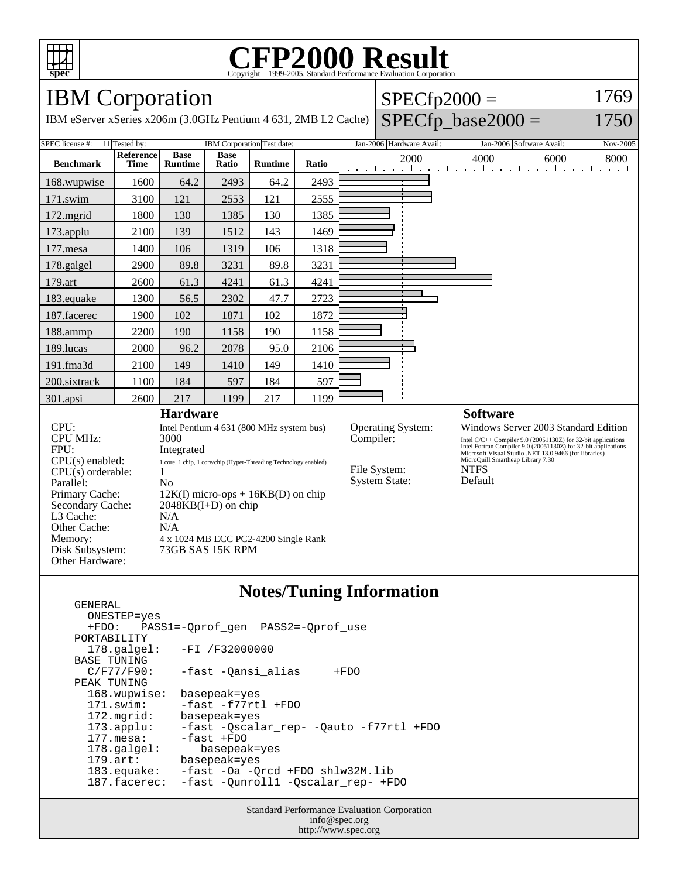

## C<sub>opyright</sub> ©1999-2005, Standard Performance Evaluation Corporation

IBM Corporation

IBM eServer xSeries x206m (3.0GHz Pentium 4 631, 2MB L2 Cache

| $SPECfp2000 =$            | 1769 |
|---------------------------|------|
| che) $SPECfp\_base2000 =$ | 1750 |

| SPEC license #:<br>11 Tested by:                                                      |                          |                                      | IBM Corporation Test date: |                          |              | Jan-2006 Hardware Avail:                                                                                                                                                                 |                                   | Jan-2006 Software Avail:<br>Nov-2005                                               |  |
|---------------------------------------------------------------------------------------|--------------------------|--------------------------------------|----------------------------|--------------------------|--------------|------------------------------------------------------------------------------------------------------------------------------------------------------------------------------------------|-----------------------------------|------------------------------------------------------------------------------------|--|
| <b>Benchmark</b>                                                                      | Reference<br><b>Time</b> | <b>Base</b><br><b>Runtime</b>        | <b>Base</b><br>Ratio       | <b>Runtime</b>           | Ratio        |                                                                                                                                                                                          | 2000                              | 4000<br>6000<br>8000<br>and the medical contract of a medical contract contract to |  |
| 168.wupwise                                                                           | 1600                     | 64.2                                 | 2493                       | 64.2                     | 2493         |                                                                                                                                                                                          |                                   |                                                                                    |  |
| $171$ .swim                                                                           | 3100                     | 121                                  | 2553                       | 121                      | 2555         |                                                                                                                                                                                          |                                   |                                                                                    |  |
| $172$ . mgrid                                                                         | 1800                     | 130                                  | 1385                       | 130                      | 1385         |                                                                                                                                                                                          |                                   |                                                                                    |  |
| $173$ .applu                                                                          | 2100                     | 139                                  | 1512                       | 143                      | 1469         |                                                                                                                                                                                          |                                   |                                                                                    |  |
| $177$ .mesa                                                                           | 1400                     | 106                                  | 1319                       | 106                      | 1318         |                                                                                                                                                                                          |                                   |                                                                                    |  |
| 178.galgel                                                                            | 2900                     | 89.8                                 | 3231                       | 89.8                     | 3231         |                                                                                                                                                                                          |                                   |                                                                                    |  |
| 179.art                                                                               | 2600                     | 61.3                                 | 4241                       | 61.3                     | 4241         |                                                                                                                                                                                          |                                   |                                                                                    |  |
| 183.equake                                                                            | 1300                     | 56.5                                 | 2302                       | 47.7                     | 2723         |                                                                                                                                                                                          |                                   |                                                                                    |  |
| 187.facerec                                                                           | 1900                     | 102                                  | 1871                       | 102                      | 1872         |                                                                                                                                                                                          |                                   |                                                                                    |  |
| 188.ammp                                                                              | 2200                     | 190                                  | 1158                       | 190                      | 1158         |                                                                                                                                                                                          |                                   |                                                                                    |  |
| 189.lucas                                                                             | 2000                     | 96.2                                 | 2078                       | 95.0                     | 2106         |                                                                                                                                                                                          |                                   |                                                                                    |  |
| 191.fma3d                                                                             | 2100                     | 149                                  | 1410                       | 149                      | 1410         |                                                                                                                                                                                          |                                   |                                                                                    |  |
| 200.sixtrack                                                                          | 1100                     | 184                                  | 597                        | 184                      | 597          |                                                                                                                                                                                          |                                   |                                                                                    |  |
| 301.apsi                                                                              | 2600                     | 217                                  | 1199                       | 217                      | 1199         |                                                                                                                                                                                          |                                   |                                                                                    |  |
| <b>Hardware</b>                                                                       |                          |                                      |                            |                          |              |                                                                                                                                                                                          |                                   | <b>Software</b>                                                                    |  |
| CPU:<br>Intel Pentium 4 631 (800 MHz system bus)                                      |                          |                                      |                            | <b>Operating System:</b> |              | Windows Server 2003 Standard Edition                                                                                                                                                     |                                   |                                                                                    |  |
| <b>CPU MHz:</b>                                                                       | 3000                     |                                      |                            | Compiler:                |              |                                                                                                                                                                                          |                                   |                                                                                    |  |
| FPU:<br>Integrated                                                                    |                          |                                      |                            |                          |              | Intel C/C++ Compiler 9.0 (20051130Z) for 32-bit applications<br>Intel Fortran Compiler 9.0 (20051130Z) for 32-bit applications<br>Microsoft Visual Studio .NET 13.0.9466 (for libraries) |                                   |                                                                                    |  |
| $CPU(s)$ enabled:<br>1 core, 1 chip, 1 core/chip (Hyper-Threading Technology enabled) |                          |                                      |                            |                          |              |                                                                                                                                                                                          | MicroQuill Smartheap Library 7.30 |                                                                                    |  |
| $CPU(s)$ orderable:<br>1                                                              |                          |                                      |                            |                          | File System: |                                                                                                                                                                                          | <b>NTFS</b>                       |                                                                                    |  |
| Parallel:<br>N <sub>0</sub>                                                           |                          |                                      | <b>System State:</b>       |                          | Default      |                                                                                                                                                                                          |                                   |                                                                                    |  |
| Primary Cache:<br>$12K(I)$ micro-ops + 16KB(D) on chip                                |                          |                                      |                            |                          |              |                                                                                                                                                                                          |                                   |                                                                                    |  |
| Secondary Cache:<br>$2048KB(I+D)$ on chip                                             |                          |                                      |                            |                          |              |                                                                                                                                                                                          |                                   |                                                                                    |  |
| L3 Cache:                                                                             |                          | N/A                                  |                            |                          |              |                                                                                                                                                                                          |                                   |                                                                                    |  |
| Other Cache:<br>N/A                                                                   |                          |                                      |                            |                          |              |                                                                                                                                                                                          |                                   |                                                                                    |  |
| Memory:                                                                               |                          | 4 x 1024 MB ECC PC2-4200 Single Rank |                            |                          |              |                                                                                                                                                                                          |                                   |                                                                                    |  |
| Disk Subsystem:                                                                       | 73GB SAS 15K RPM         |                                      |                            |                          |              |                                                                                                                                                                                          |                                   |                                                                                    |  |
| Other Hardware:                                                                       |                          |                                      |                            |                          |              |                                                                                                                                                                                          |                                   |                                                                                    |  |

## **Notes/Tuning Information**

```
 GENERAL
  ONESTEP=yes<br>+FDO: PAS;
           +FDO: PASS1=-Qprof_gen PASS2=-Qprof_use
PORTABILITY<br>178.qalqel:
                   -FI /F32000000
BASE TUNING<br>C/F77/F90:
                   -fast -Qansi_alias +FDO
 PEAK TUNING
   168.wupwise: basepeak=yes
   171.swim: -fast -f77rtl +FDO
   172.mgrid: basepeak=yes
   173.applu: -fast -Qscalar_rep- -Qauto -f77rtl +FDO
  177.mesa: -fast +FDO<br>178.galgel: basepeal
  178.galgel: basepeak=yes<br>179.art: basepeak=yes
  179.art: basepeak=yes<br>183.equake: -fast -Oa -Q
   183.equake: -fast -Oa -Qrcd +FDO shlw32M.lib
                   -fast -Qunroll1 -Qscalar_rep- +FDO
```
Standard Performance Evaluation Corporation info@spec.org http://www.spec.org